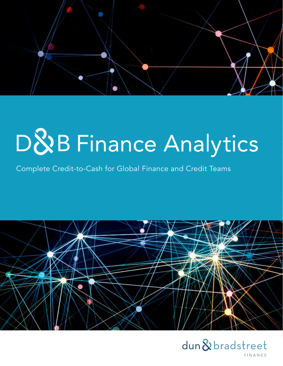

# D&B Finance Analytics

Complete Credit-to-Cash for Global Finance and Credit Teams



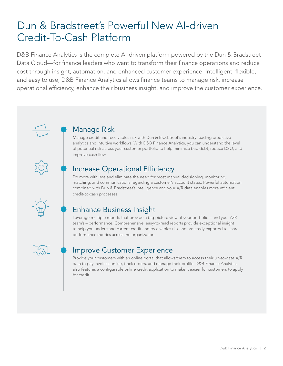# Dun & Bradstreet's Powerful New AI-driven Credit-To-Cash Platform

D&B Finance Analytics is the complete AI-driven platform powered by the Dun & Bradstreet Data Cloud—for finance leaders who want to transform their finance operations and reduce cost through insight, automation, and enhanced customer experience. Intelligent, flexible, and easy to use, D&B Finance Analytics allows finance teams to manage risk, increase operational efficiency, enhance their business insight, and improve the customer experience.



## Manage Risk

Manage credit and receivables risk with Dun & Bradstreet's industry-leading predictive analytics and intuitive workflows. With D&B Finance Analytics, you can understand the level of potential risk across your customer portfolio to help minimize bad debt, reduce DSO, and improve cash flow.

# Increase Operational Efficiency

Do more with less and eliminate the need for most manual decisioning, monitoring, matching, and communications regarding a customer's account status. Powerful automation combined with Dun & Bradstreet's intelligence and your A/R data enables more efficient credit-to-cash processes.

# Enhance Business Insight

Leverage multiple reports that provide a big-picture view of your portfolio – and your A/R team's – performance. Comprehensive, easy-to-read reports provide exceptional insight to help you understand current credit and receivables risk and are easily exported to share performance metrics across the organization.



# Improve Customer Experience

Provide your customers with an online portal that allows them to access their up-to-date A/R data to pay invoices online, track orders, and manage their profile. D&B Finance Analytics also features a configurable online credit application to make it easier for customers to apply for credit.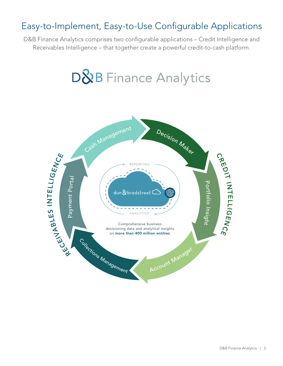# Easy-to-Implement, Easy-to-Use Configurable Applications

D&B Finance Analytics comprises two configurable applications – Credit Intelligence and Receivables Intelligence – that together create a powerful credit-to-cash platform.

# **D&B** Finance Analytics

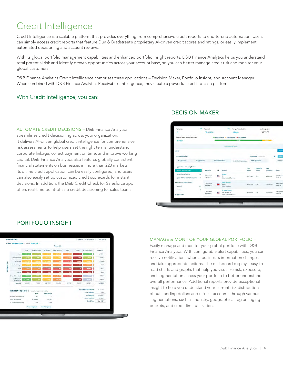# Credit Intelligence

Credit Intelligence is a scalable platform that provides everything from comprehensive credit reports to end-to-end automation. Users can simply access credit reports that feature Dun & Bradstreet's proprietary AI-driven credit scores and ratings, or easily implement automated decisioning and account reviews.

With its global portfolio management capabilities and enhanced portfolio insight reports, D&B Finance Analytics helps you understand total potential risk and identify growth opportunities across your account base, so you can better manage credit risk and monitor your global customers.

D&B Finance Analytics Credit Intelligence comprises three applications – Decision Maker, Portfolio Insight, and Account Manager. When combined with D&B Finance Analytics Receivables Intelligence, they create a powerful credit-to-cash platform.

### With Credit Intelligence, you can:

AUTOMATE CREDIT DECISIONS – D&B Finance Analytics streamlines credit decisioning across your organization. It delivers AI-driven global credit intelligence for comprehensive risk assessments to help users set the right terms, understand corporate linkage, collect payment on time, and improve working capital. D&B Finance Analytics also features globally consistent financial statements on businesses in more than 220 markets. Its online credit application can be easily configured, and users can also easily set up customized credit scorecards for instant decisions. In addition, the D&B Credit Check for Salesforce app offers real-time point-of-sale credit decisioning for sales teams.

### DECISION MAKER





### PORTFOLIO INSIGHT

### MANAGE & MONITOR YOUR GLOBAL PORTFOLIO –

Easily manage and monitor your global portfolio with D&B Finance Analytics. With configurable alert capabilities, you can receive notifications when a business's information changes and take appropriate actions. The dashboard displays easy-toread charts and graphs that help you visualize risk, exposure, and segmentation across your portfolio to better understand overall performance. Additional reports provide exceptional insight to help you understand your current risk distribution of outstanding dollars and riskiest accounts through various segmentations, such as industry, geographical region, aging buckets, and credit limit utilization.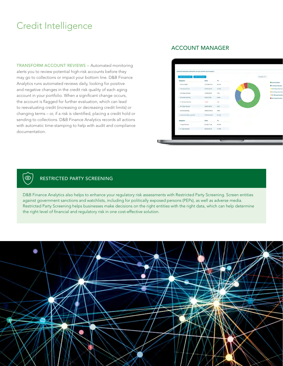# Credit Intelligence

TRANSFORM ACCOUNT REVIEWS – Automated monitoring alerts you to review potential high-risk accounts before they may go to collections or impact your bottom line. D&B Finance Analytics runs automated reviews daily, looking for positive and negative changes in the credit risk quality of each aging account in your portfolio. When a significant change occurs, the account is flagged for further evaluation, which can lead to reevaluating credit (increasing or decreasing credit limits) or changing terms – or, if a risk is identified, placing a credit hold or sending to collections. D&B Finance Analytics records all actions with automatic time-stamping to help with audit and compliance documentation.

### ACCOUNT MANAGER



### RESTRICTED PARTY SCREENING

 $\circledcirc$ 

D&B Finance Analytics also helps to enhance your regulatory risk assessments with Restricted Party Screening. Screen entities against government sanctions and watchlists, including for politically exposed persons (PEPs), as well as adverse media. Restricted Party Screening helps businesses make decisions on the right entities with the right data, which can help determine the right level of financial and regulatory risk in one cost-effective solution.

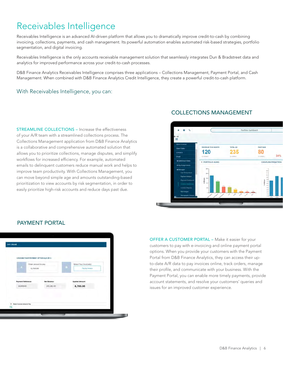# Receivables Intelligence

Receivables Intelligence is an advanced AI-driven platform that allows you to dramatically improve credit-to-cash by combining invoicing, collections, payments, and cash management. Its powerful automation enables automated risk-based strategies, portfolio segmentation, and digital invoicing.

Receivables Intelligence is the only accounts receivable management solution that seamlessly integrates Dun & Bradstreet data and analytics for improved performance across your credit-to-cash processes.

D&B Finance Analytics Receivables Intelligence comprises three applications – Collections Management, Payment Portal, and Cash Management. When combined with D&B Finance Analytics Credit Intelligence, they create a powerful credit-to-cash platform.

### With Receivables Intelligence, you can:

STREAMLINE COLLECTIONS – Increase the effectiveness of your A/R team with a streamlined collections process. The Collections Management application from D&B Finance Analytics is a collaborative and comprehensive automated solution that allows you to prioritize collections, manage disputes, and simplify workflows for increased efficiency. For example, automated emails to delinquent customers reduce manual work and helps to improve team productivity. With Collections Management, you can move beyond simple age and amounts outstanding-based prioritization to view accounts by risk segmentation, in order to easily prioritize high-risk accounts and reduce days past due.

### COLLECTIONS MANAGEMENT





PAYMENT PORTAL

OFFER A CUSTOMER PORTAL – Make it easier for your customers to pay with e-invoicing and online payment portal options. When you provide your customers with the Payment Portal from D&B Finance Analytics, they can access their upto-date A/R data to pay invoices online, track orders, manage their profile, and communicate with your business. With the Payment Portal, you can enable more timely payments, provide account statements, and resolve your customers' queries and issues for an improved customer experience.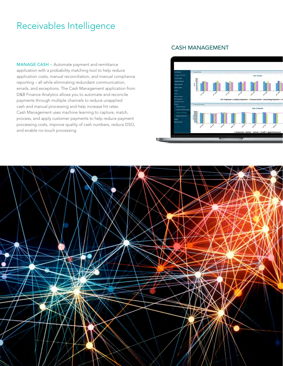# Receivables Intelligence

MANAGE CASH – Automate payment and remittance application with a probability matching tool to help reduce application costs, manual reconciliation, and manual compliance reporting – all while eliminating redundant communication, emails, and exceptions. The Cash Management application from D&B Finance Analytics allows you to automate and reconcile payments through multiple channels to reduce unapplied cash and manual processing and help increase hit rates. Cash Management uses machine learning to capture, match, process, and apply customer payments to help reduce payment processing costs, improve quality of cash numbers, reduce DSO, and enable no-touch processing.

### CASH MANAGEMENT



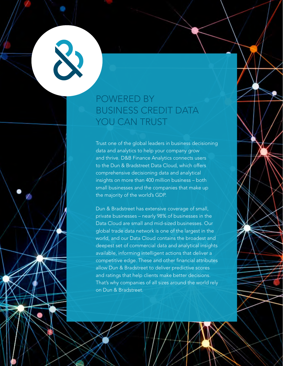# POWERED BY BUSINESS CREDIT DATA YOU CAN TRUST

Trust one of the global leaders in business decisioning data and analytics to help your company grow and thrive. D&B Finance Analytics connects users to the Dun & Bradstreet Data Cloud, which offers comprehensive decisioning data and analytical insights on more than 400 million business – both small businesses and the companies that make up the majority of the world's GDP.

Dun & Bradstreet has extensive coverage of small, private businesses – nearly 98% of businesses in the Data Cloud are small and mid-sized businesses. Our global trade data network is one of the largest in the world, and our Data Cloud contains the broadest and deepest set of commercial data and analytical insights available, informing intelligent actions that deliver a competitive edge. These and other financial attributes allow Dun & Bradstreet to deliver predictive scores and ratings that help clients make better decisions. That's why companies of all sizes around the world rely on Dun & Bradstreet.

D&B Finance Analytics | 8